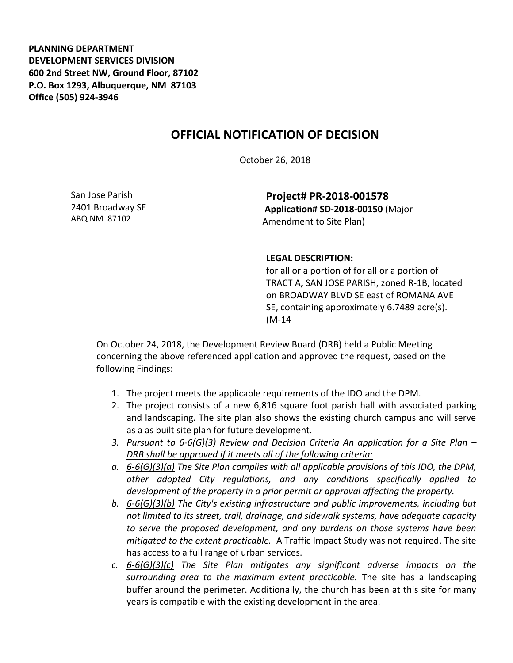**PLANNING DEPARTMENT DEVELOPMENT SERVICES DIVISION 600 2nd Street NW, Ground Floor, 87102 P.O. Box 1293, Albuquerque, NM 87103 Office (505) 924-3946** 

## **OFFICIAL NOTIFICATION OF DECISION**

October 26, 2018

San Jose Parish 2401 Broadway SE ABQ NM 87102

**Project# PR-2018-001578 Application# SD-2018-00150** (Major Amendment to Site Plan)

## **LEGAL DESCRIPTION:**

for all or a portion of for all or a portion of TRACT A**,** SAN JOSE PARISH, zoned R-1B, located on BROADWAY BLVD SE east of ROMANA AVE SE, containing approximately 6.7489 acre(s). (M-14

On October 24, 2018, the Development Review Board (DRB) held a Public Meeting concerning the above referenced application and approved the request, based on the following Findings:

- 1. The project meets the applicable requirements of the IDO and the DPM.
- 2. The project consists of a new 6,816 square foot parish hall with associated parking and landscaping. The site plan also shows the existing church campus and will serve as a as built site plan for future development.
- *3. Pursuant to 6-6(G)(3) Review and Decision Criteria An application for a Site Plan – DRB shall be approved if it meets all of the following criteria:*
- *a. 6-6(G)(3)(a) The Site Plan complies with all applicable provisions of this IDO, the DPM, other adopted City regulations, and any conditions specifically applied to development of the property in a prior permit or approval affecting the property.*
- *b. 6-6(G)(3)(b) The City's existing infrastructure and public improvements, including but not limited to its street, trail, drainage, and sidewalk systems, have adequate capacity to serve the proposed development, and any burdens on those systems have been mitigated to the extent practicable.* A Traffic Impact Study was not required. The site has access to a full range of urban services.
- *c. 6-6(G)(3)(c) The Site Plan mitigates any significant adverse impacts on the surrounding area to the maximum extent practicable.* The site has a landscaping buffer around the perimeter. Additionally, the church has been at this site for many years is compatible with the existing development in the area.